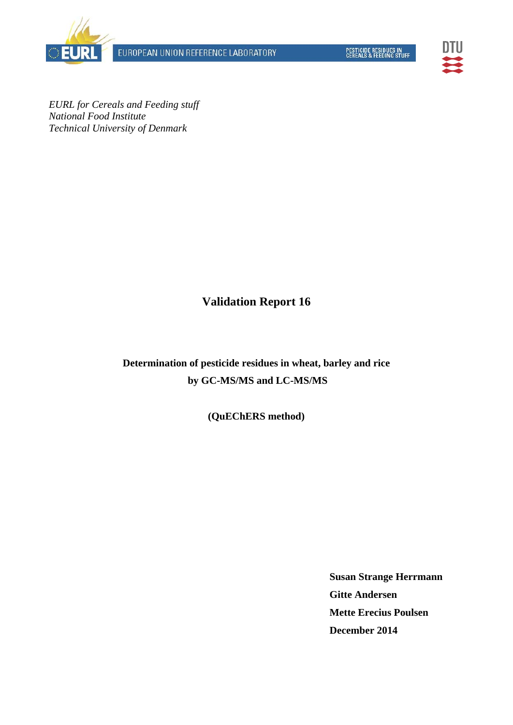EUROPEAN UNION REFERENCE LABORATORY





*EURL for Cereals and Feeding stuff National Food Institute Technical University of Denmark* 

**Validation Report 16** 

**Determination of pesticide residues in wheat, barley and rice by GC-MS/MS and LC-MS/MS** 

**(QuEChERS method)** 

**Susan Strange Herrmann Gitte Andersen Mette Erecius Poulsen December 2014**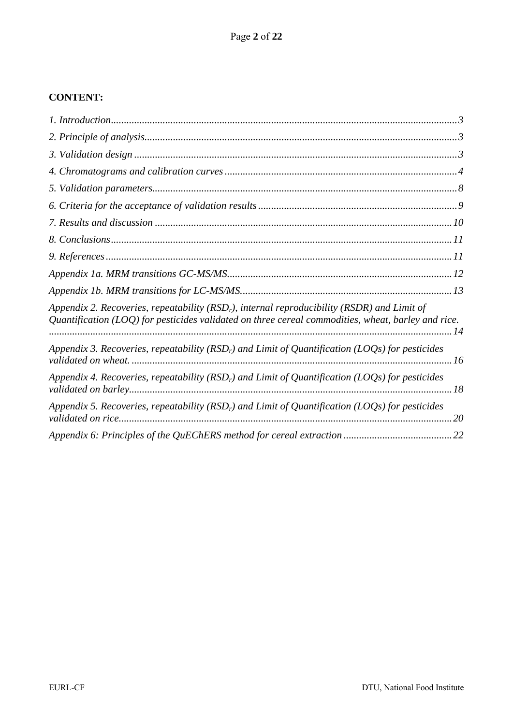### **CONTENT:**

| Appendix 2. Recoveries, repeatability ( $RSDr$ ), internal reproducibility ( $RSDR$ ) and Limit of<br>Quantification (LOQ) for pesticides validated on three cereal commodities, wheat, barley and rice. |
|----------------------------------------------------------------------------------------------------------------------------------------------------------------------------------------------------------|
| Appendix 3. Recoveries, repeatability (RSD <sub>r</sub> ) and Limit of Quantification (LOQs) for pesticides                                                                                              |
| Appendix 4. Recoveries, repeatability (RSD <sub>r</sub> ) and Limit of Quantification (LOQs) for pesticides                                                                                              |
| Appendix 5. Recoveries, repeatability (RSD <sub>r</sub> ) and Limit of Quantification (LOQs) for pesticides<br>20                                                                                        |
|                                                                                                                                                                                                          |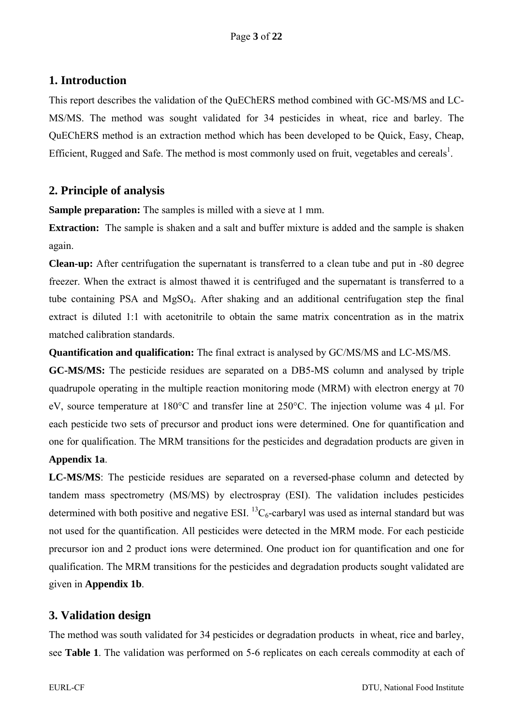## **1. Introduction**

This report describes the validation of the QuEChERS method combined with GC-MS/MS and LC-MS/MS. The method was sought validated for 34 pesticides in wheat, rice and barley. The QuEChERS method is an extraction method which has been developed to be Quick, Easy, Cheap, Efficient, Rugged and Safe. The method is most commonly used on fruit, vegetables and cereals<sup>1</sup>.

## **2. Principle of analysis**

**Sample preparation:** The samples is milled with a sieve at 1 mm.

**Extraction:** The sample is shaken and a salt and buffer mixture is added and the sample is shaken again.

**Clean-up:** After centrifugation the supernatant is transferred to a clean tube and put in -80 degree freezer. When the extract is almost thawed it is centrifuged and the supernatant is transferred to a tube containing PSA and MgSO4. After shaking and an additional centrifugation step the final extract is diluted 1:1 with acetonitrile to obtain the same matrix concentration as in the matrix matched calibration standards.

#### **Quantification and qualification:** The final extract is analysed by GC/MS/MS and LC-MS/MS.

**GC-MS/MS:** The pesticide residues are separated on a DB5-MS column and analysed by triple quadrupole operating in the multiple reaction monitoring mode (MRM) with electron energy at 70 eV, source temperature at 180°C and transfer line at 250°C. The injection volume was 4 µl. For each pesticide two sets of precursor and product ions were determined. One for quantification and one for qualification. The MRM transitions for the pesticides and degradation products are given in **Appendix 1a**.

**LC-MS/MS**: The pesticide residues are separated on a reversed-phase column and detected by tandem mass spectrometry (MS/MS) by electrospray (ESI). The validation includes pesticides determined with both positive and negative ESI.  ${}^{13}C_6$ -carbaryl was used as internal standard but was not used for the quantification. All pesticides were detected in the MRM mode. For each pesticide precursor ion and 2 product ions were determined. One product ion for quantification and one for qualification. The MRM transitions for the pesticides and degradation products sought validated are given in **Appendix 1b**.

## **3. Validation design**

The method was south validated for 34 pesticides or degradation products in wheat, rice and barley, see **Table 1**. The validation was performed on 5-6 replicates on each cereals commodity at each of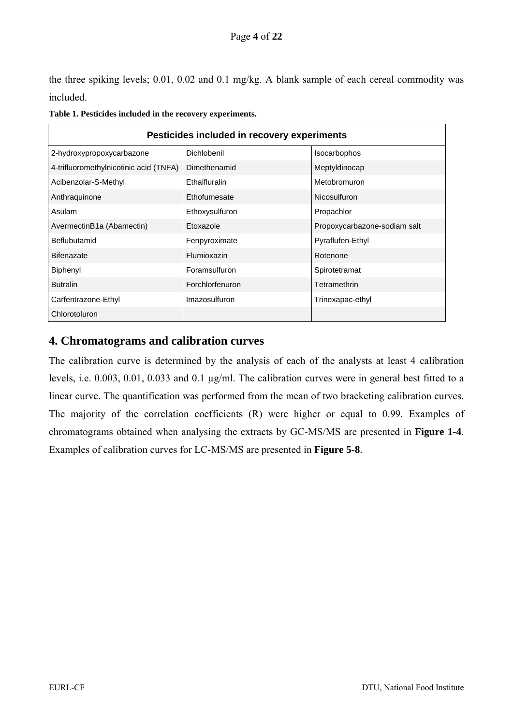the three spiking levels; 0.01, 0.02 and 0.1 mg/kg. A blank sample of each cereal commodity was included.

| Pesticides included in recovery experiments |                 |                              |  |  |  |  |  |  |  |  |  |
|---------------------------------------------|-----------------|------------------------------|--|--|--|--|--|--|--|--|--|
| 2-hydroxypropoxycarbazone                   | Dichlobenil     | Isocarbophos                 |  |  |  |  |  |  |  |  |  |
| 4-trifluoromethylnicotinic acid (TNFA)      | Dimethenamid    | Meptyldinocap                |  |  |  |  |  |  |  |  |  |
| Acibenzolar-S-Methyl                        | Ethalfluralin   | Metobromuron                 |  |  |  |  |  |  |  |  |  |
| Anthraguinone                               | Ethofumesate    | Nicosulfuron                 |  |  |  |  |  |  |  |  |  |
| Asulam                                      | Ethoxysulfuron  | Propachlor                   |  |  |  |  |  |  |  |  |  |
| AvermectinB1a (Abamectin)                   | Etoxazole       | Propoxycarbazone-sodiam salt |  |  |  |  |  |  |  |  |  |
| Beflubutamid                                | Fenpyroximate   | Pyraflufen-Ethyl             |  |  |  |  |  |  |  |  |  |
| <b>Bifenazate</b>                           | Flumioxazin     | Rotenone                     |  |  |  |  |  |  |  |  |  |
| Biphenyl                                    | Foramsulfuron   | Spirotetramat                |  |  |  |  |  |  |  |  |  |
| <b>Butralin</b>                             | Forchlorfenuron | Tetramethrin                 |  |  |  |  |  |  |  |  |  |
| Carfentrazone-Ethyl                         | Imazosulfuron   | Trinexapac-ethyl             |  |  |  |  |  |  |  |  |  |
| Chlorotoluron                               |                 |                              |  |  |  |  |  |  |  |  |  |

|  |  | Table 1. Pesticides included in the recovery experiments. |  |
|--|--|-----------------------------------------------------------|--|
|--|--|-----------------------------------------------------------|--|

### **4. Chromatograms and calibration curves**

The calibration curve is determined by the analysis of each of the analysts at least 4 calibration levels, i.e. 0.003, 0.01, 0.033 and 0.1 µg/ml. The calibration curves were in general best fitted to a linear curve. The quantification was performed from the mean of two bracketing calibration curves. The majority of the correlation coefficients (R) were higher or equal to 0.99. Examples of chromatograms obtained when analysing the extracts by GC-MS/MS are presented in **Figure 1-4**. Examples of calibration curves for LC-MS/MS are presented in **Figure 5-8**.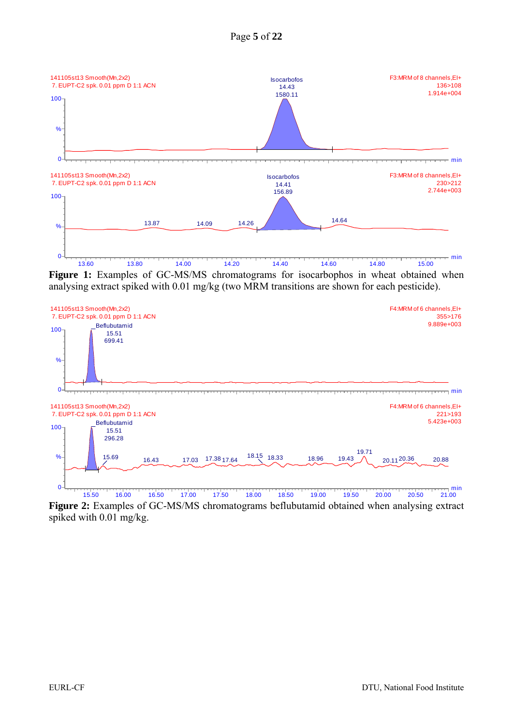

**Figure 1:** Examples of GC-MS/MS chromatograms for isocarbophos in wheat obtained when analysing extract spiked with 0.01 mg/kg (two MRM transitions are shown for each pesticide).



**Figure 2:** Examples of GC-MS/MS chromatograms beflubutamid obtained when analysing extract spiked with 0.01 mg/kg.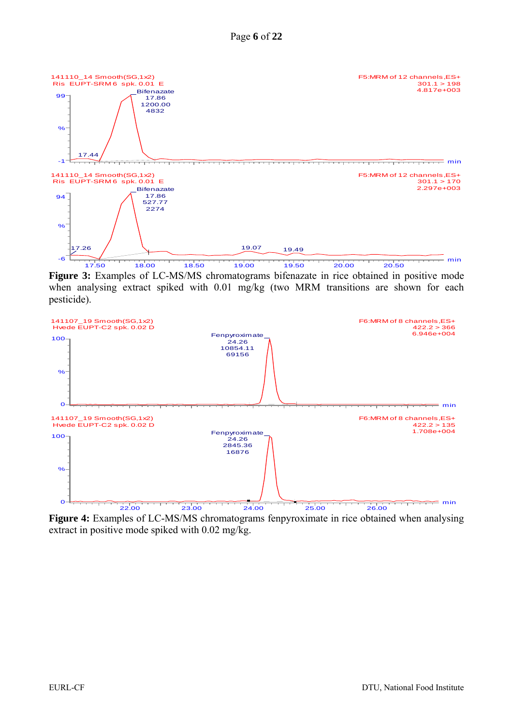

**Figure 3:** Examples of LC-MS/MS chromatograms bifenazate in rice obtained in positive mode when analysing extract spiked with 0.01 mg/kg (two MRM transitions are shown for each pesticide).



**Figure 4:** Examples of LC-MS/MS chromatograms fenpyroximate in rice obtained when analysing extract in positive mode spiked with 0.02 mg/kg.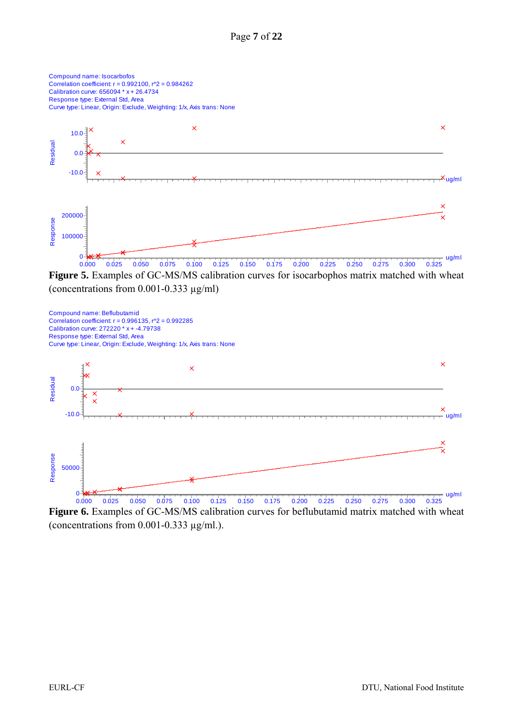

**Figure 5.** Examples of GC-MS/MS calibration curves for isocarbophos matrix matched with wheat (concentrations from 0.001-0.333 µg/ml)



**Figure 6.** Examples of GC-MS/MS calibration curves for beflubutamid matrix matched with wheat (concentrations from  $0.001$ -0.333  $\mu$ g/ml.).

Compound name: Isocarbofos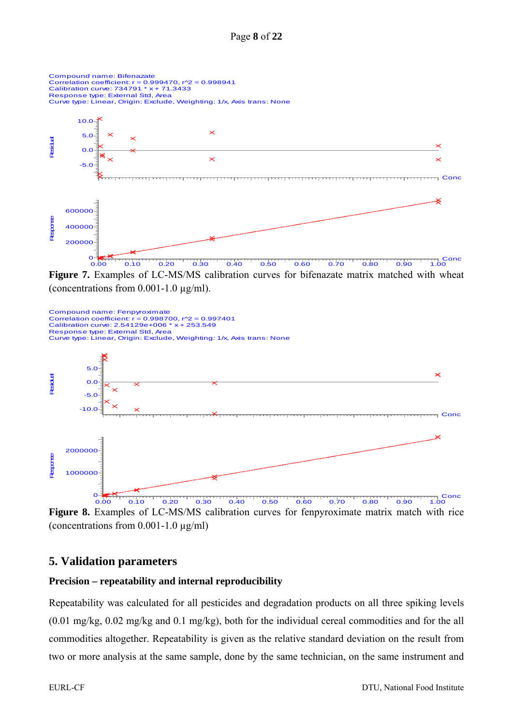

**Figure 7.** Examples of LC-MS/MS calibration curves for bifenazate matrix matched with wheat (concentrations from 0.001-1.0 µg/ml).



**Figure 8.** Examples of LC-MS/MS calibration curves for fenpyroximate matrix match with rice (concentrations from 0.001-1.0 µg/ml)

#### **5. Validation parameters**

#### **Precision – repeatability and internal reproducibility**

Repeatability was calculated for all pesticides and degradation products on all three spiking levels (0.01 mg/kg, 0.02 mg/kg and 0.1 mg/kg), both for the individual cereal commodities and for the all commodities altogether. Repeatability is given as the relative standard deviation on the result from two or more analysis at the same sample, done by the same technician, on the same instrument and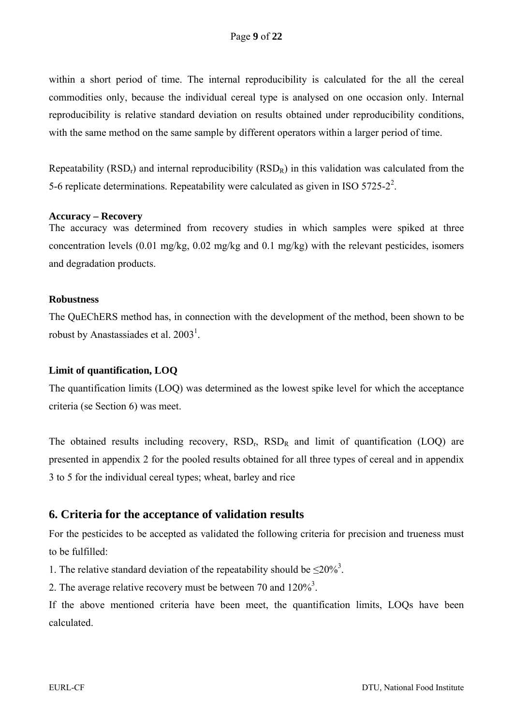within a short period of time. The internal reproducibility is calculated for the all the cereal commodities only, because the individual cereal type is analysed on one occasion only. Internal reproducibility is relative standard deviation on results obtained under reproducibility conditions, with the same method on the same sample by different operators within a larger period of time.

Repeatability  $(RSD<sub>r</sub>)$  and internal reproducibility  $(RSD<sub>R</sub>)$  in this validation was calculated from the 5-6 replicate determinations. Repeatability were calculated as given in ISO 5725-2<sup>2</sup>.

#### **Accuracy – Recovery**

The accuracy was determined from recovery studies in which samples were spiked at three concentration levels (0.01 mg/kg, 0.02 mg/kg and 0.1 mg/kg) with the relevant pesticides, isomers and degradation products.

#### **Robustness**

The QuEChERS method has, in connection with the development of the method, been shown to be robust by Anastassiades et al.  $2003<sup>1</sup>$ .

#### **Limit of quantification, LOQ**

The quantification limits (LOQ) was determined as the lowest spike level for which the acceptance criteria (se Section 6) was meet.

The obtained results including recovery,  $RSD<sub>r</sub>$ ,  $RSD<sub>R</sub>$  and limit of quantification (LOQ) are presented in appendix 2 for the pooled results obtained for all three types of cereal and in appendix 3 to 5 for the individual cereal types; wheat, barley and rice

#### **6. Criteria for the acceptance of validation results**

For the pesticides to be accepted as validated the following criteria for precision and trueness must to be fulfilled:

1. The relative standard deviation of the repeatability should be  $\leq 20\%$ <sup>3</sup>.

2. The average relative recovery must be between 70 and  $120\%$ <sup>3</sup>.

If the above mentioned criteria have been meet, the quantification limits, LOQs have been calculated.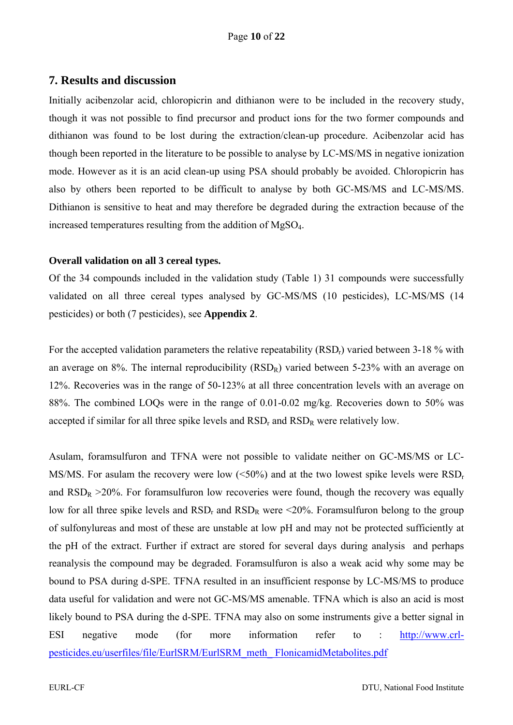#### **7. Results and discussion**

Initially acibenzolar acid, chloropicrin and dithianon were to be included in the recovery study, though it was not possible to find precursor and product ions for the two former compounds and dithianon was found to be lost during the extraction/clean-up procedure. Acibenzolar acid has though been reported in the literature to be possible to analyse by LC-MS/MS in negative ionization mode. However as it is an acid clean-up using PSA should probably be avoided. Chloropicrin has also by others been reported to be difficult to analyse by both GC-MS/MS and LC-MS/MS. Dithianon is sensitive to heat and may therefore be degraded during the extraction because of the increased temperatures resulting from the addition of MgSO4.

#### **Overall validation on all 3 cereal types.**

Of the 34 compounds included in the validation study (Table 1) 31 compounds were successfully validated on all three cereal types analysed by GC-MS/MS (10 pesticides), LC-MS/MS (14 pesticides) or both (7 pesticides), see **Appendix 2**.

For the accepted validation parameters the relative repeatability (RSD<sub>r</sub>) varied between 3-18 % with an average on  $8\%$ . The internal reproducibility  $(RSD_R)$  varied between 5-23% with an average on 12%. Recoveries was in the range of 50-123% at all three concentration levels with an average on 88%. The combined LOQs were in the range of 0.01-0.02 mg/kg. Recoveries down to 50% was accepted if similar for all three spike levels and  $RSD<sub>r</sub>$  and  $RSD<sub>R</sub>$  were relatively low.

Asulam, foramsulfuron and TFNA were not possible to validate neither on GC-MS/MS or LC-MS/MS. For asulam the recovery were low  $(<50\%)$  and at the two lowest spike levels were  $RSD<sub>r</sub>$ and  $RSD_R > 20\%$ . For foramsulfuron low recoveries were found, though the recovery was equally low for all three spike levels and  $RSD<sub>r</sub>$  and  $RSD<sub>R</sub>$  were <20%. Foramsulfuron belong to the group of sulfonylureas and most of these are unstable at low pH and may not be protected sufficiently at the pH of the extract. Further if extract are stored for several days during analysis and perhaps reanalysis the compound may be degraded. Foramsulfuron is also a weak acid why some may be bound to PSA during d-SPE. TFNA resulted in an insufficient response by LC-MS/MS to produce data useful for validation and were not GC-MS/MS amenable. TFNA which is also an acid is most likely bound to PSA during the d-SPE. TFNA may also on some instruments give a better signal in ESI negative mode (for more information refer to : http://www.crlpesticides.eu/userfiles/file/EurlSRM/EurlSRM\_meth\_ FlonicamidMetabolites.pdf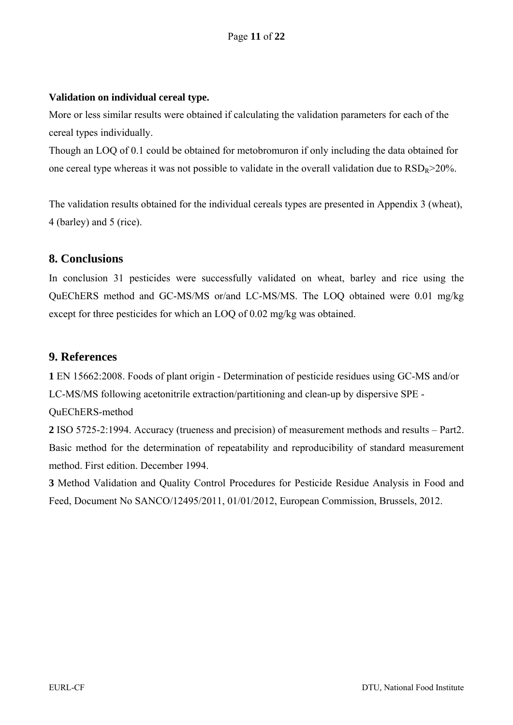#### **Validation on individual cereal type.**

More or less similar results were obtained if calculating the validation parameters for each of the cereal types individually.

Though an LOQ of 0.1 could be obtained for metobromuron if only including the data obtained for one cereal type whereas it was not possible to validate in the overall validation due to  $\text{RSD}_R$  > 20%.

The validation results obtained for the individual cereals types are presented in Appendix 3 (wheat), 4 (barley) and 5 (rice).

#### **8. Conclusions**

In conclusion 31 pesticides were successfully validated on wheat, barley and rice using the QuEChERS method and GC-MS/MS or/and LC-MS/MS. The LOQ obtained were 0.01 mg/kg except for three pesticides for which an LOQ of 0.02 mg/kg was obtained.

#### **9. References**

**1** EN 15662:2008. Foods of plant origin - Determination of pesticide residues using GC-MS and/or LC-MS/MS following acetonitrile extraction/partitioning and clean-up by dispersive SPE - QuEChERS-method

**2** ISO 5725-2:1994. Accuracy (trueness and precision) of measurement methods and results – Part2. Basic method for the determination of repeatability and reproducibility of standard measurement method. First edition. December 1994.

**3** Method Validation and Quality Control Procedures for Pesticide Residue Analysis in Food and Feed, Document No SANCO/12495/2011, 01/01/2012, European Commission, Brussels, 2012.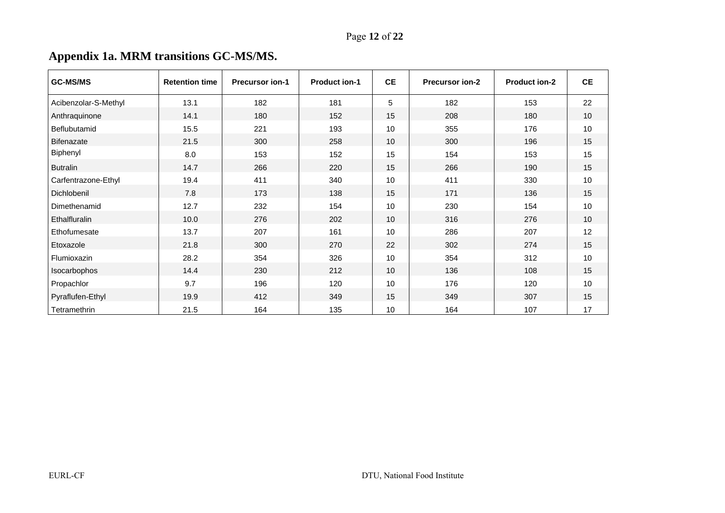# **Appendix 1a. MRM transitions GC-MS/MS.**

| <b>GC-MS/MS</b>      | <b>Retention time</b> | <b>Precursor ion-1</b> | <b>Product ion-1</b> | <b>CE</b> | <b>Precursor ion-2</b> | <b>Product ion-2</b> | CE   |
|----------------------|-----------------------|------------------------|----------------------|-----------|------------------------|----------------------|------|
| Acibenzolar-S-Methyl | 13.1                  | 182                    | 181                  | 5         | 182                    | 153                  | 22   |
| Anthraquinone        | 14.1                  | 180                    | 152                  | 15        | 208                    | 180                  | 10   |
| Beflubutamid         | 15.5                  | 221                    | 193                  | 10        | 355                    | 176                  | $10$ |
| <b>Bifenazate</b>    | 21.5                  | 300                    | 258                  | 10        | 300                    | 196                  | 15   |
| Biphenyl             | 8.0                   | 153                    | 152                  | 15        | 154                    | 153                  | 15   |
| <b>Butralin</b>      | 14.7                  | 266                    | 220                  | 15        | 266                    | 190                  | 15   |
| Carfentrazone-Ethyl  | 19.4                  | 411                    | 340                  | 10        | 411                    | 330                  | 10   |
| Dichlobenil          | 7.8                   | 173                    | 138                  | 15        | 171                    | 136                  | 15   |
| Dimethenamid         | 12.7                  | 232                    | 154                  | 10        | 230                    | 154                  | 10   |
| Ethalfluralin        | 10.0                  | 276                    | 202                  | 10        | 316                    | 276                  | 10   |
| Ethofumesate         | 13.7                  | 207                    | 161                  | 10        | 286                    | 207                  | 12   |
| Etoxazole            | 21.8                  | 300                    | 270                  | 22        | 302                    | 274                  | 15   |
| Flumioxazin          | 28.2                  | 354                    | 326                  | 10        | 354                    | 312                  | 10   |
| Isocarbophos         | 14.4                  | 230                    | 212                  | 10        | 136                    | 108                  | 15   |
| Propachlor           | 9.7                   | 196                    | 120                  | 10        | 176                    | 120                  | 10   |
| Pyraflufen-Ethyl     | 19.9                  | 412                    | 349                  | 15        | 349                    | 307                  | 15   |
| Tetramethrin         | 21.5                  | 164                    | 135                  | 10        | 164                    | 107                  | 17   |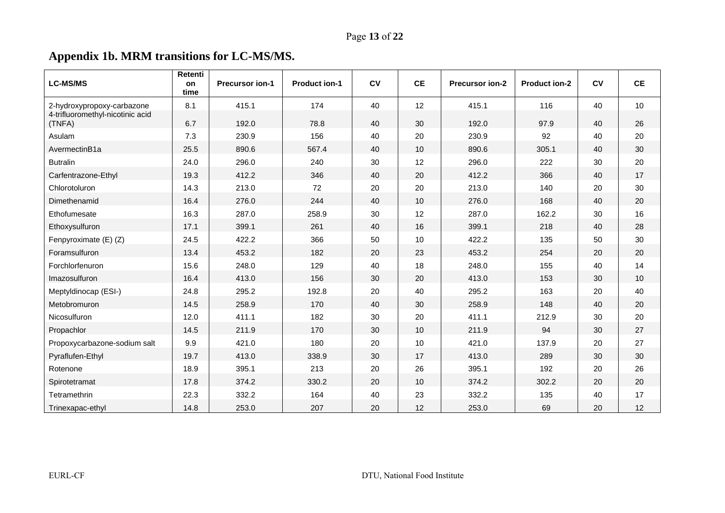# **Appendix 1b. MRM transitions for LC-MS/MS.**

| <b>LC-MS/MS</b>                                                | Retenti<br>on | <b>Precursor ion-1</b> | <b>Product ion-1</b> | <b>CV</b> | <b>CE</b> | Precursor ion-2 | <b>Product ion-2</b> | c <sub>v</sub> | <b>CE</b> |
|----------------------------------------------------------------|---------------|------------------------|----------------------|-----------|-----------|-----------------|----------------------|----------------|-----------|
|                                                                | time          |                        |                      |           |           |                 |                      |                |           |
| 2-hydroxypropoxy-carbazone<br>4-trifluoromethyl-nicotinic acid | 8.1           | 415.1                  | 174                  | 40        | 12        | 415.1           | 116                  | 40             | 10        |
| (TNFA)                                                         | 6.7           | 192.0                  | 78.8                 | 40        | 30        | 192.0           | 97.9                 | 40             | 26        |
| Asulam                                                         | 7.3           | 230.9                  | 156                  | 40        | 20        | 230.9           | 92                   | 40             | 20        |
| AvermectinB1a                                                  | 25.5          | 890.6                  | 567.4                | 40        | 10        | 890.6           | 305.1                | 40             | 30        |
| <b>Butralin</b>                                                | 24.0          | 296.0                  | 240                  | 30        | 12        | 296.0           | 222                  | 30             | 20        |
| Carfentrazone-Ethyl                                            | 19.3          | 412.2                  | 346                  | 40        | 20        | 412.2           | 366                  | 40             | 17        |
| Chlorotoluron                                                  | 14.3          | 213.0                  | 72                   | 20        | 20        | 213.0           | 140                  | 20             | 30        |
| Dimethenamid                                                   | 16.4          | 276.0                  | 244                  | 40        | 10        | 276.0           | 168                  | 40             | 20        |
| Ethofumesate                                                   | 16.3          | 287.0                  | 258.9                | 30        | 12        | 287.0           | 162.2                | 30             | 16        |
| Ethoxysulfuron                                                 | 17.1          | 399.1                  | 261                  | 40        | 16        | 399.1           | 218                  | 40             | 28        |
| Fenpyroximate (E) (Z)                                          | 24.5          | 422.2                  | 366                  | 50        | 10        | 422.2           | 135                  | 50             | 30        |
| Foramsulfuron                                                  | 13.4          | 453.2                  | 182                  | 20        | 23        | 453.2           | 254                  | 20             | 20        |
| Forchlorfenuron                                                | 15.6          | 248.0                  | 129                  | 40        | 18        | 248.0           | 155                  | 40             | 14        |
| Imazosulfuron                                                  | 16.4          | 413.0                  | 156                  | 30        | 20        | 413.0           | 153                  | 30             | 10        |
| Meptyldinocap (ESI-)                                           | 24.8          | 295.2                  | 192.8                | 20        | 40        | 295.2           | 163                  | 20             | 40        |
| Metobromuron                                                   | 14.5          | 258.9                  | 170                  | 40        | 30        | 258.9           | 148                  | 40             | 20        |
| Nicosulfuron                                                   | 12.0          | 411.1                  | 182                  | 30        | 20        | 411.1           | 212.9                | 30             | 20        |
| Propachlor                                                     | 14.5          | 211.9                  | 170                  | 30        | 10        | 211.9           | 94                   | 30             | 27        |
| Propoxycarbazone-sodium salt                                   | 9.9           | 421.0                  | 180                  | 20        | 10        | 421.0           | 137.9                | 20             | 27        |
| Pyraflufen-Ethyl                                               | 19.7          | 413.0                  | 338.9                | 30        | 17        | 413.0           | 289                  | 30             | 30        |
| Rotenone                                                       | 18.9          | 395.1                  | 213                  | 20        | 26        | 395.1           | 192                  | 20             | 26        |
| Spirotetramat                                                  | 17.8          | 374.2                  | 330.2                | 20        | 10        | 374.2           | 302.2                | 20             | 20        |
| Tetramethrin                                                   | 22.3          | 332.2                  | 164                  | 40        | 23        | 332.2           | 135                  | 40             | 17        |
| Trinexapac-ethyl                                               | 14.8          | 253.0                  | 207                  | 20        | 12        | 253.0           | 69                   | 20             | 12        |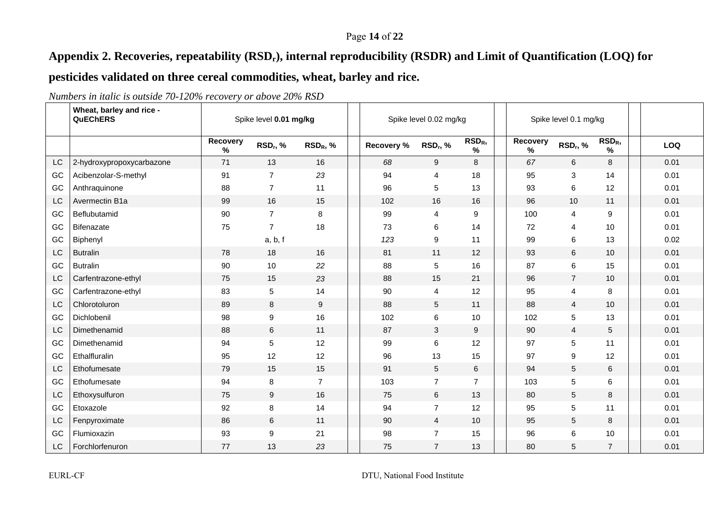#### Page **14** of **22**

## **Appendix 2. Recoveries, repeatability (RSDr), internal reproducibility (RSDR) and Limit of Quantification (LOQ) for**

## **pesticides validated on three cereal commodities, wheat, barley and rice.**

|           | Wheat, barley and rice -<br><b>QuEChERS</b> | Spike level 0.01 mg/kg |                      |                      | Spike level 0.02 mg/kg |                           |                          |  | Spike level 0.1 mg/kg |                      |                          |            |
|-----------|---------------------------------------------|------------------------|----------------------|----------------------|------------------------|---------------------------|--------------------------|--|-----------------------|----------------------|--------------------------|------------|
|           |                                             | Recovery<br>$\%$       | RSD <sub>r</sub> , % | RSD <sub>R</sub> , % | Recovery %             | RSD <sub>r</sub> , %      | RSD <sub>R</sub><br>$\%$ |  | Recovery<br>$\%$      | RSD <sub>r</sub> , % | RSD <sub>R</sub><br>$\%$ | <b>LOQ</b> |
| LC        | 2-hydroxypropoxycarbazone                   | 71                     | 13                   | 16                   | 68                     | 9                         | 8                        |  | 67                    | 6                    | $\,8\,$                  | 0.01       |
| GC        | Acibenzolar-S-methyl                        | 91                     | $\overline{7}$       | 23                   | 94                     | 4                         | 18                       |  | 95                    | 3                    | 14                       | 0.01       |
| <b>GC</b> | Anthraquinone                               | 88                     | $\overline{7}$       | 11                   | 96                     | 5                         | 13                       |  | 93                    | 6                    | 12                       | 0.01       |
| <b>LC</b> | Avermectin B1a                              | 99                     | 16                   | 15                   | 102                    | 16                        | 16                       |  | 96                    | 10                   | 11                       | 0.01       |
| <b>GC</b> | Beflubutamid                                | 90                     | $\overline{7}$       | 8                    | 99                     | 4                         | 9                        |  | 100                   | $\overline{4}$       | 9                        | 0.01       |
| GC        | <b>Bifenazate</b>                           | 75                     | $\overline{7}$       | 18                   | 73                     | 6                         | 14                       |  | 72                    | 4                    | 10                       | 0.01       |
| <b>GC</b> | Biphenyl                                    |                        | a, b, f              |                      | 123                    | 9                         | 11                       |  | 99                    | 6                    | 13                       | 0.02       |
| LC        | <b>Butralin</b>                             | 78                     | 18                   | 16                   | 81                     | 11                        | 12                       |  | 93                    | 6                    | 10                       | 0.01       |
| GC        | <b>Butralin</b>                             | 90                     | 10                   | 22                   | 88                     | 5                         | 16                       |  | 87                    | 6                    | 15                       | 0.01       |
| LC        | Carfentrazone-ethyl                         | 75                     | 15                   | 23                   | 88                     | 15                        | 21                       |  | 96                    | $\overline{7}$       | 10                       | 0.01       |
| GC        | Carfentrazone-ethyl                         | 83                     | 5                    | 14                   | 90                     | 4                         | 12                       |  | 95                    | 4                    | 8                        | 0.01       |
| LC        | Chlorotoluron                               | 89                     | 8                    | 9                    | 88                     | 5                         | 11                       |  | 88                    | $\overline{4}$       | 10                       | 0.01       |
| <b>GC</b> | Dichlobenil                                 | 98                     | $9\,$                | 16                   | 102                    | 6                         | 10                       |  | 102                   | $\sqrt{5}$           | 13                       | 0.01       |
| LC        | Dimethenamid                                | 88                     | 6                    | 11                   | 87                     | $\ensuremath{\mathsf{3}}$ | 9                        |  | 90                    | $\overline{4}$       | 5                        | 0.01       |
| GC        | Dimethenamid                                | 94                     | 5                    | 12                   | 99                     | 6                         | 12                       |  | 97                    | 5                    | 11                       | 0.01       |
| GC        | Ethalfluralin                               | 95                     | 12                   | 12                   | 96                     | 13                        | 15                       |  | 97                    | 9                    | 12                       | 0.01       |
| <b>LC</b> | Ethofumesate                                | 79                     | 15                   | 15                   | 91                     | $5\phantom{.0}$           | 6                        |  | 94                    | 5                    | 6                        | 0.01       |
| GC        | Ethofumesate                                | 94                     | 8                    | $\overline{7}$       | 103                    | $\overline{7}$            | $\overline{7}$           |  | 103                   | $\sqrt{5}$           | 6                        | 0.01       |
| LC        | Ethoxysulfuron                              | 75                     | $9\,$                | 16                   | 75                     | 6                         | 13                       |  | 80                    | $\sqrt{5}$           | $\bf 8$                  | 0.01       |
| GC        | Etoxazole                                   | 92                     | 8                    | 14                   | 94                     | $\overline{7}$            | 12                       |  | 95                    | 5                    | 11                       | 0.01       |
| LC        | Fenpyroximate                               | 86                     | 6                    | 11                   | 90                     | $\overline{4}$            | 10                       |  | 95                    | 5                    | 8                        | 0.01       |
| GC        | Flumioxazin                                 | 93                     | 9                    | 21                   | 98                     | $\overline{7}$            | 15                       |  | 96                    | 6                    | 10                       | 0.01       |
| LC.       | Forchlorfenuron                             | 77                     | 13                   | 23                   | 75                     | $\overline{7}$            | 13                       |  | 80                    | 5                    | $\overline{7}$           | 0.01       |

*Numbers in italic is outside 70-120% recovery or above 20% RSD*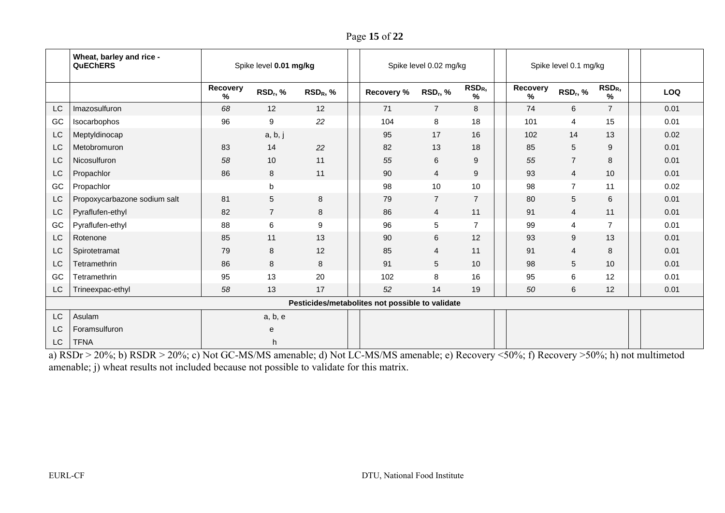Page **15** of **22**

|    | Wheat, barley and rice -<br><b>QuEChERS</b> | Spike level 0.01 mg/kg |                                                 |            |            | Spike level 0.02 mg/kg |                       |               | Spike level 0.1 mg/kg |                       |            |
|----|---------------------------------------------|------------------------|-------------------------------------------------|------------|------------|------------------------|-----------------------|---------------|-----------------------|-----------------------|------------|
|    |                                             | Recovery<br>%          | RSD <sub>r</sub> , %                            | $RSD_R, %$ | Recovery % | RSD <sub>r</sub> , %   | RSD <sub>R</sub><br>% | Recovery<br>℅ | RSD <sub>r</sub> , %  | RSD <sub>R</sub><br>% | <b>LOQ</b> |
| LC | Imazosulfuron                               | 68                     | 12                                              | 12         | 71         | $\overline{7}$         | 8                     | 74            | 6                     | $\overline{7}$        | 0.01       |
| GC | Isocarbophos                                | 96                     | 9                                               | 22         | 104        | 8                      | 18                    | 101           | 4                     | 15                    | 0.01       |
| LC | Meptyldinocap                               |                        | a, b, j                                         |            | 95         | 17                     | 16                    | 102           | 14                    | 13                    | 0.02       |
| LC | Metobromuron                                | 83                     | 14                                              | 22         | 82         | 13                     | 18                    | 85            | 5                     | 9                     | 0.01       |
| LC | Nicosulfuron                                | 58                     | 10                                              | 11         | 55         | 6                      | 9                     | 55            | $\overline{7}$        | 8                     | 0.01       |
| LC | Propachlor                                  | 86                     | 8                                               | 11         | 90         | $\overline{4}$         | 9                     | 93            | $\overline{4}$        | 10                    | 0.01       |
| GC | Propachlor                                  |                        | $\mathbf b$                                     |            | 98         | 10                     | 10                    | 98            | $\overline{7}$        | 11                    | 0.02       |
| LC | Propoxycarbazone sodium salt                | 81                     | $\overline{5}$                                  | 8          | 79         | $\overline{7}$         | $\overline{7}$        | 80            | 5                     | 6                     | 0.01       |
| LC | Pyraflufen-ethyl                            | 82                     | $\overline{7}$                                  | $\bf 8$    | 86         | $\overline{4}$         | 11                    | 91            | $\overline{4}$        | 11                    | 0.01       |
| GC | Pyraflufen-ethyl                            | 88                     | $\,6\,$                                         | 9          | 96         | 5                      | $\overline{7}$        | 99            | 4                     | $\overline{7}$        | 0.01       |
| LC | Rotenone                                    | 85                     | 11                                              | 13         | 90         | 6                      | 12                    | 93            | 9                     | 13                    | 0.01       |
| LC | Spirotetramat                               | 79                     | 8                                               | 12         | 85         | $\overline{4}$         | 11                    | 91            | 4                     | 8                     | 0.01       |
| LC | Tetramethrin                                | 86                     | 8                                               | 8          | 91         | 5                      | 10                    | 98            | 5                     | 10                    | 0.01       |
| GC | Tetramethrin                                | 95                     | 13                                              | 20         | 102        | 8                      | 16                    | 95            | 6                     | 12                    | 0.01       |
| LC | Trineexpac-ethyl                            | 58                     | 13                                              | 17         | 52         | 14                     | 19                    | 50            | 6                     | 12                    | 0.01       |
|    |                                             |                        | Pesticides/metabolites not possible to validate |            |            |                        |                       |               |                       |                       |            |
| LC | Asulam                                      |                        | a, b, e                                         |            |            |                        |                       |               |                       |                       |            |
| LC | Foramsulfuron                               |                        | e                                               |            |            |                        |                       |               |                       |                       |            |
| LC | <b>TFNA</b>                                 |                        | h                                               |            |            |                        |                       |               |                       |                       |            |

a) RSDr > 20%; b) RSDR > 20%; c) Not GC-MS/MS amenable; d) Not LC-MS/MS amenable; e) Recovery <50%; f) Recovery >50%; h) not multimetod amenable; j) wheat results not included because not possible to validate for this matrix.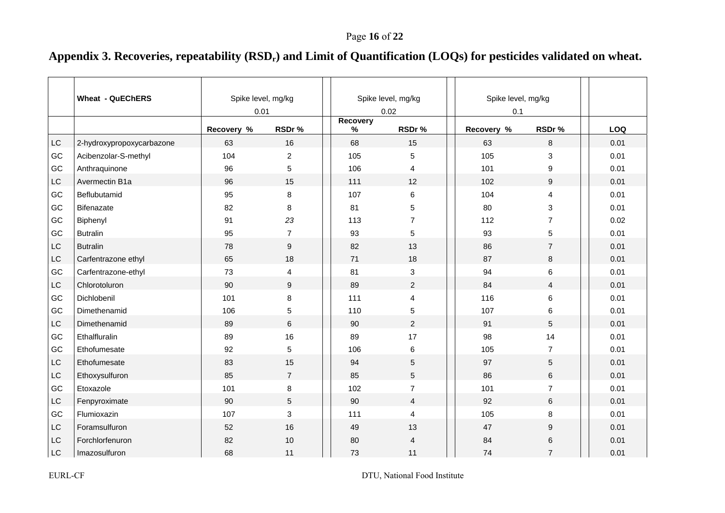# Appendix 3. Recoveries, repeatability (RSD<sub>r</sub>) and Limit of Quantification (LOQs) for pesticides validated on wheat.

|                        | <b>Wheat - QuEChERS</b>   |            | Spike level, mg/kg<br>0.01 |  |                         | Spike level, mg/kg<br>0.02 | Spike level, mg/kg<br>0.1 |                  |  |      |
|------------------------|---------------------------|------------|----------------------------|--|-------------------------|----------------------------|---------------------------|------------------|--|------|
|                        |                           | Recovery % | RSDr%                      |  | <b>Recovery</b><br>$\%$ | RSDr%                      | Recovery %                | RSDr%            |  | LOQ  |
| LC                     | 2-hydroxypropoxycarbazone | 63         | 16                         |  | 68                      | 15                         | 63                        | 8                |  | 0.01 |
| GC                     | Acibenzolar-S-methyl      | 104        | $\overline{c}$             |  | 105                     | 5                          | 105                       | $\mathbf{3}$     |  | 0.01 |
| GC                     | Anthraquinone             | 96         | 5                          |  | 106                     | 4                          | 101                       | 9                |  | 0.01 |
| LC                     | Avermectin B1a            | 96         | 15                         |  | 111                     | 12                         | 102                       | $\boldsymbol{9}$ |  | 0.01 |
| GC                     | Beflubutamid              | 95         | 8                          |  | 107                     | 6                          | 104                       | 4                |  | 0.01 |
| GC                     | Bifenazate                | 82         | 8                          |  | 81                      | 5                          | 80                        | 3                |  | 0.01 |
| GC                     | Biphenyl                  | 91         | 23                         |  | 113                     | $\overline{7}$             | 112                       | $\overline{7}$   |  | 0.02 |
| GC                     | <b>Butralin</b>           | 95         | $\overline{7}$             |  | 93                      | 5                          | 93                        | 5                |  | 0.01 |
| LC                     | <b>Butralin</b>           | 78         | 9                          |  | 82                      | 13                         | 86                        | $\overline{7}$   |  | 0.01 |
| LC                     | Carfentrazone ethyl       | 65         | 18                         |  | 71                      | 18                         | 87                        | 8                |  | 0.01 |
| GC                     | Carfentrazone-ethyl       | 73         | $\overline{\mathbf{4}}$    |  | 81                      | $\sqrt{3}$                 | 94                        | 6                |  | 0.01 |
| LC                     | Chlorotoluron             | 90         | $\mathsf g$                |  | 89                      | $\overline{2}$             | 84                        | $\overline{4}$   |  | 0.01 |
| GC                     | Dichlobenil               | 101        | 8                          |  | 111                     | 4                          | 116                       | 6                |  | 0.01 |
| GC                     | Dimethenamid              | 106        | $\sqrt{5}$                 |  | 110                     | 5                          | 107                       | 6                |  | 0.01 |
| LC                     | Dimethenamid              | 89         | $\,6\,$                    |  | 90                      | $\overline{2}$             | 91                        | 5                |  | 0.01 |
| GC                     | Ethalfluralin             | 89         | 16                         |  | 89                      | 17                         | 98                        | 14               |  | 0.01 |
| GC                     | Ethofumesate              | 92         | $\sqrt{5}$                 |  | 106                     | 6                          | 105                       | $\overline{7}$   |  | 0.01 |
| LC                     | Ethofumesate              | 83         | 15                         |  | 94                      | 5                          | 97                        | 5                |  | 0.01 |
| LC                     | Ethoxysulfuron            | 85         | $\overline{7}$             |  | 85                      | 5                          | 86                        | 6                |  | 0.01 |
| GC                     | Etoxazole                 | 101        | 8                          |  | 102                     | $\overline{7}$             | 101                       | $\overline{7}$   |  | 0.01 |
| LC                     | Fenpyroximate             | 90         | $5\,$                      |  | 90                      | $\overline{4}$             | 92                        | 6                |  | 0.01 |
| GC                     | Flumioxazin               | 107        | $\ensuremath{\mathsf{3}}$  |  | 111                     | $\overline{4}$             | 105                       | 8                |  | 0.01 |
| $\mathsf{L}\mathsf{C}$ | Foramsulfuron             | 52         | 16                         |  | 49                      | 13                         | 47                        | 9                |  | 0.01 |
| LC                     | Forchlorfenuron           | 82         | 10                         |  | 80                      | 4                          | 84                        | 6                |  | 0.01 |
| LC                     | Imazosulfuron             | 68         | 11                         |  | 73                      | 11                         | 74                        | $\overline{7}$   |  | 0.01 |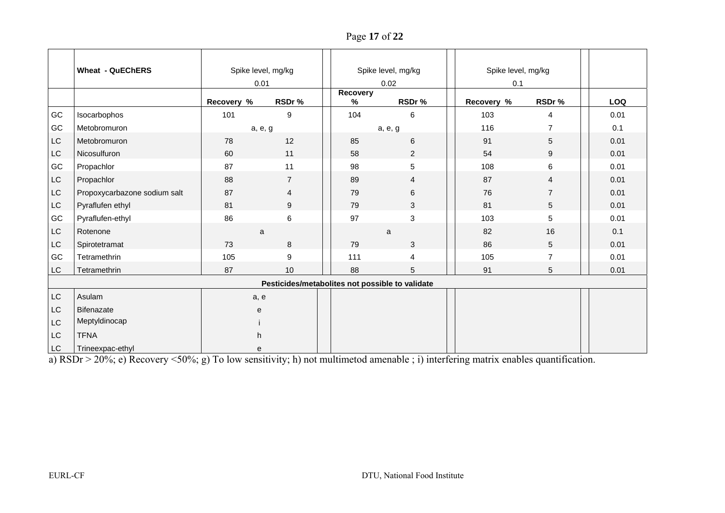Page **17** of **22**

|           | <b>Wheat - QuEChERS</b>      |            | Spike level, mg/kg                              |  |               | Spike level, mg/kg | Spike level, mg/kg |                |      |
|-----------|------------------------------|------------|-------------------------------------------------|--|---------------|--------------------|--------------------|----------------|------|
|           |                              | 0.01       |                                                 |  |               | 0.02               | 0.1                |                |      |
|           |                              | Recovery % | RSDr%                                           |  | Recovery<br>% | RSDr%              | Recovery %         | RSDr%          | LOQ  |
| GC        | Isocarbophos                 | 101        | 9                                               |  | 104           | 6                  | 103                | 4              | 0.01 |
| GC        | Metobromuron                 | a, e, g    |                                                 |  |               | a, e, g            | 116                | 7              | 0.1  |
| LC        | Metobromuron                 | 78         | 12                                              |  | 85            | 6                  | 91                 | 5              | 0.01 |
| LC        | Nicosulfuron                 | 60         | 11                                              |  | 58            | $\overline{c}$     | 54                 | 9              | 0.01 |
| GC        | Propachlor                   | 87         | 11                                              |  | 98            | 5                  | 108                | 6              | 0.01 |
| LC        | Propachlor                   | 88         | $\overline{7}$                                  |  | 89            | 4                  | 87                 | 4              | 0.01 |
| LC        | Propoxycarbazone sodium salt | 87         | 4                                               |  | 79            | 6                  | 76                 | $\overline{7}$ | 0.01 |
| LC        | Pyraflufen ethyl             | 81         | 9                                               |  | 79            | 3                  | 81                 | 5              | 0.01 |
| GC        | Pyraflufen-ethyl             | 86         | 6                                               |  | 97            | 3                  | 103                | 5              | 0.01 |
| LC        | Rotenone                     | a          |                                                 |  |               | a                  | 82                 | 16             | 0.1  |
| LC        | Spirotetramat                | 73         | 8                                               |  | 79            | 3                  | 86                 | 5              | 0.01 |
| GC        | Tetramethrin                 | 105        | $\boldsymbol{9}$                                |  | 111           | 4                  | 105                | $\overline{7}$ | 0.01 |
| LC        | Tetramethrin                 | 87         | 10                                              |  | 88            | $\sqrt{5}$         | 91                 | 5              | 0.01 |
|           |                              |            | Pesticides/metabolites not possible to validate |  |               |                    |                    |                |      |
| LC        | Asulam                       | a, e       |                                                 |  |               |                    |                    |                |      |
| LC        | Bifenazate                   | e          |                                                 |  |               |                    |                    |                |      |
| <b>LC</b> | Meptyldinocap                |            |                                                 |  |               |                    |                    |                |      |
| LC        | <b>TFNA</b>                  | h          |                                                 |  |               |                    |                    |                |      |
| LC        | Trineexpac-ethyl             | е          |                                                 |  |               |                    |                    |                |      |

a) RSDr > 20%; e) Recovery <50%; g) To low sensitivity; h) not multimetod amenable ; i) interfering matrix enables quantification.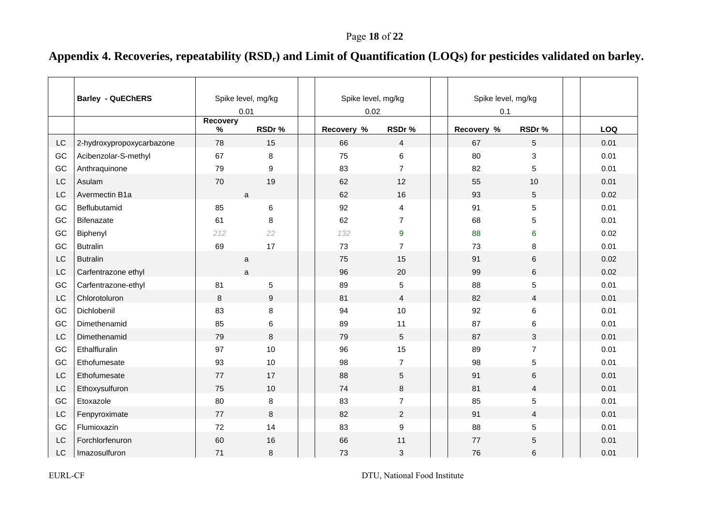# Appendix 4. Recoveries, repeatability (RSD<sub>r</sub>) and Limit of Quantification (LOQs) for pesticides validated on barley.

|           | <b>Barley - QuEChERS</b>  | Spike level, mg/kg |                  | Spike level, mg/kg |                | Spike level, mg/kg |            |                |  |      |
|-----------|---------------------------|--------------------|------------------|--------------------|----------------|--------------------|------------|----------------|--|------|
|           |                           |                    | 0.01             | 0.02               |                |                    | 0.1        |                |  |      |
|           |                           | Recovery<br>$\%$   | RSDr%            | Recovery %         | RSDr%          |                    | Recovery % | RSDr%          |  | LOQ  |
| LC        | 2-hydroxypropoxycarbazone | 78                 | 15               | 66                 | $\overline{4}$ |                    | 67         | 5              |  | 0.01 |
| GC        | Acibenzolar-S-methyl      | 67                 | 8                | 75                 | $\,6$          |                    | 80         | $\sqrt{3}$     |  | 0.01 |
| GC        | Anthraquinone             | 79                 | 9                | 83                 | $\overline{7}$ |                    | 82         | 5              |  | 0.01 |
| LC        | Asulam                    | 70                 | 19               | 62                 | 12             |                    | 55         | 10             |  | 0.01 |
| LC        | Avermectin B1a            |                    | a                | 62                 | 16             |                    | 93         | $\overline{5}$ |  | 0.02 |
| GC        | Beflubutamid              | 85                 | 6                | 92                 | $\overline{4}$ |                    | 91         | 5              |  | 0.01 |
| GC        | Bifenazate                | 61                 | 8                | 62                 | $\overline{7}$ |                    | 68         | $\sqrt{5}$     |  | 0.01 |
| GC        | Biphenyl                  | 212                | 22               | 132                | 9              |                    | 88         | 6              |  | 0.02 |
| GC        | <b>Butralin</b>           | 69                 | 17               | 73                 | $\overline{7}$ |                    | 73         | 8              |  | 0.01 |
| LC        | <b>Butralin</b>           |                    | $\mathsf{a}$     | 75                 | 15             |                    | 91         | $\,6\,$        |  | 0.02 |
| LC        | Carfentrazone ethyl       |                    | a                | 96                 | 20             |                    | 99         | $\,6\,$        |  | 0.02 |
| GC        | Carfentrazone-ethyl       | 81                 | 5                | 89                 | 5              |                    | 88         | $\overline{5}$ |  | 0.01 |
| LC        | Chlorotoluron             | 8                  | $\boldsymbol{9}$ | 81                 | $\overline{4}$ |                    | 82         | $\overline{4}$ |  | 0.01 |
| GC        | Dichlobenil               | 83                 | 8                | 94                 | 10             |                    | 92         | $\,6\,$        |  | 0.01 |
| GC        | Dimethenamid              | 85                 | 6                | 89                 | 11             |                    | 87         | 6              |  | 0.01 |
| <b>LC</b> | Dimethenamid              | 79                 | 8                | 79                 | 5              |                    | 87         | $\mathfrak{Z}$ |  | 0.01 |
| GC        | Ethalfluralin             | 97                 | 10               | 96                 | 15             |                    | 89         | $\overline{7}$ |  | 0.01 |
| GC        | Ethofumesate              | 93                 | $10$             | 98                 | 7              |                    | 98         | $\sqrt{5}$     |  | 0.01 |
| LC        | Ethofumesate              | 77                 | 17               | 88                 | 5              |                    | 91         | $\,6\,$        |  | 0.01 |
| LC        | Ethoxysulfuron            | 75                 | 10               | 74                 | 8              |                    | 81         | $\overline{4}$ |  | 0.01 |
| GC        | Etoxazole                 | 80                 | 8                | 83                 | $\overline{7}$ |                    | 85         | $\sqrt{5}$     |  | 0.01 |
| LC        | Fenpyroximate             | 77                 | 8                | 82                 | 2              |                    | 91         | 4              |  | 0.01 |
| GC        | Flumioxazin               | 72                 | 14               | 83                 | 9              |                    | 88         | $\sqrt{5}$     |  | 0.01 |
| LC        | Forchlorfenuron           | 60                 | 16               | 66                 | 11             |                    | 77         | $\sqrt{5}$     |  | 0.01 |
| LC        | Imazosulfuron             | 71                 | 8                | 73                 | 3              |                    | 76         | 6              |  | 0.01 |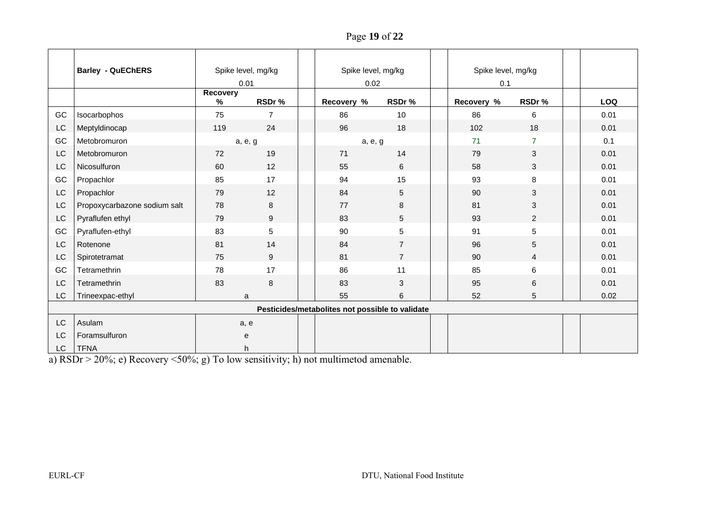Page **19** of **22**

|    | <b>Barley - QuEChERS</b>     | Spike level, mg/kg |                | Spike level, mg/kg                              |                 |  | Spike level, mg/kg |                |            |
|----|------------------------------|--------------------|----------------|-------------------------------------------------|-----------------|--|--------------------|----------------|------------|
|    |                              | 0.01               |                | 0.02                                            |                 |  | 0.1                |                |            |
|    |                              | Recovery<br>$\%$   | RSDr%          | Recovery %                                      | RSDr%           |  | Recovery %         | RSDr %         | <b>LOQ</b> |
| GC | Isocarbophos                 | 75                 | $\overline{7}$ | 86                                              | 10              |  | 86                 | 6              | 0.01       |
| LC | Meptyldinocap                | 119                | 24             | 96                                              | 18              |  | 102                | 18             | 0.01       |
| GC | Metobromuron                 | a, e, g            |                | a, e, g                                         |                 |  | 71                 | $\overline{7}$ | 0.1        |
| LC | Metobromuron                 | 72                 | 19             | 71                                              | 14              |  | 79                 | $\mathfrak{B}$ | 0.01       |
| LC | Nicosulfuron                 | 60                 | 12             | 55                                              | 6               |  | 58                 | 3              | 0.01       |
| GC | Propachlor                   | 85                 | 17             | 94                                              | 15              |  | 93                 | 8              | 0.01       |
| LC | Propachlor                   | 79                 | 12             | 84                                              | 5               |  | 90                 | 3              | 0.01       |
| LC | Propoxycarbazone sodium salt | 78                 | 8              | 77                                              | $\,8\,$         |  | 81                 | $\mathbf{3}$   | 0.01       |
| LC | Pyraflufen ethyl             | 79                 | 9              | 83                                              | 5               |  | 93                 | $\overline{2}$ | 0.01       |
| GC | Pyraflufen-ethyl             | 83                 | 5              | 90                                              | $5\phantom{.0}$ |  | 91                 | 5              | 0.01       |
| LC | Rotenone                     | 81                 | 14             | 84                                              | $\overline{7}$  |  | 96                 | 5              | 0.01       |
| LC | Spirotetramat                | 75                 | 9              | 81                                              | $\overline{7}$  |  | 90                 | 4              | 0.01       |
| GC | Tetramethrin                 | 78                 | 17             | 86                                              | 11              |  | 85                 | 6              | 0.01       |
| LC | Tetramethrin                 | 83                 | 8              | 83                                              | 3               |  | 95                 | $\,6\,$        | 0.01       |
| LC | Trineexpac-ethyl             | a                  |                | 55                                              | 6               |  | 52                 | 5              | 0.02       |
|    |                              |                    |                | Pesticides/metabolites not possible to validate |                 |  |                    |                |            |
| LC | Asulam                       | a, e               |                |                                                 |                 |  |                    |                |            |
| LC | Foramsulfuron                | е                  |                |                                                 |                 |  |                    |                |            |
| LC | <b>TFNA</b>                  |                    | h.             |                                                 |                 |  |                    |                |            |

a) RSDr > 20%; e) Recovery <50%; g) To low sensitivity; h) not multimetod amenable.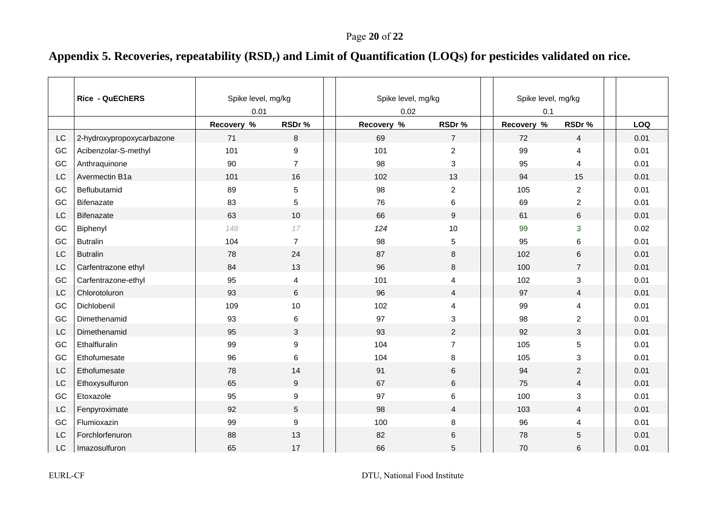# Appendix 5. Recoveries, repeatability (RSD<sub>r</sub>) and Limit of Quantification (LOQs) for pesticides validated on rice.

|    | <b>Rice - QuEChERS</b>    | Spike level, mg/kg<br>0.01 |                |  | Spike level, mg/kg<br>0.02 |                |  | Spike level, mg/kg<br>0.1 |                         |      |
|----|---------------------------|----------------------------|----------------|--|----------------------------|----------------|--|---------------------------|-------------------------|------|
|    |                           | Recovery %                 | RSDr%          |  | Recovery %                 | RSDr%          |  | Recovery %                | RSDr%                   | LOQ  |
| LC | 2-hydroxypropoxycarbazone | 71                         | 8              |  | 69                         | $\overline{7}$ |  | 72                        | 4                       | 0.01 |
| GC | Acibenzolar-S-methyl      | 101                        | 9              |  | 101                        | $\overline{c}$ |  | 99                        | 4                       | 0.01 |
| GC | Anthraquinone             | 90                         | $\overline{7}$ |  | 98                         | 3              |  | 95                        | 4                       | 0.01 |
| LC | Avermectin B1a            | 101                        | 16             |  | 102                        | 13             |  | 94                        | 15                      | 0.01 |
| GC | Beflubutamid              | 89                         | 5              |  | 98                         | $\overline{c}$ |  | 105                       | $\overline{2}$          | 0.01 |
| GC | <b>Bifenazate</b>         | 83                         | 5              |  | 76                         | 6              |  | 69                        | 2                       | 0.01 |
| LC | Bifenazate                | 63                         | 10             |  | 66                         | 9              |  | 61                        | 6                       | 0.01 |
| GC | Biphenyl                  | 148                        | 17             |  | 124                        | 10             |  | 99                        | 3                       | 0.02 |
| GC | <b>Butralin</b>           | 104                        | $\overline{7}$ |  | 98                         | 5              |  | 95                        | 6                       | 0.01 |
| LC | <b>Butralin</b>           | 78                         | 24             |  | 87                         | 8              |  | 102                       | 6                       | 0.01 |
| LC | Carfentrazone ethyl       | 84                         | 13             |  | 96                         | $\,8\,$        |  | 100                       | $\overline{7}$          | 0.01 |
| GC | Carfentrazone-ethyl       | 95                         | 4              |  | 101                        | $\overline{4}$ |  | 102                       | 3                       | 0.01 |
| LC | Chlorotoluron             | 93                         | 6              |  | 96                         | $\overline{4}$ |  | 97                        | $\overline{4}$          | 0.01 |
| GC | Dichlobenil               | 109                        | 10             |  | 102                        | $\overline{4}$ |  | 99                        | 4                       | 0.01 |
| GC | Dimethenamid              | 93                         | 6              |  | 97                         | $\mathbf{3}$   |  | 98                        | $\overline{\mathbf{c}}$ | 0.01 |
| LC | Dimethenamid              | 95                         | 3              |  | 93                         | 2              |  | 92                        | 3                       | 0.01 |
| GC | Ethalfluralin             | 99                         | 9              |  | 104                        | $\overline{7}$ |  | 105                       | 5                       | 0.01 |
| GC | Ethofumesate              | 96                         | 6              |  | 104                        | 8              |  | 105                       | 3                       | 0.01 |
| LC | Ethofumesate              | 78                         | 14             |  | 91                         | 6              |  | 94                        | $\overline{2}$          | 0.01 |
| LC | Ethoxysulfuron            | 65                         | 9              |  | 67                         | 6              |  | 75                        | $\overline{4}$          | 0.01 |
| GC | Etoxazole                 | 95                         | 9              |  | 97                         | 6              |  | 100                       | 3                       | 0.01 |
| LC | Fenpyroximate             | 92                         | 5              |  | 98                         | $\overline{4}$ |  | 103                       | $\overline{4}$          | 0.01 |
| GC | Flumioxazin               | 99                         | 9              |  | 100                        | 8              |  | 96                        | 4                       | 0.01 |
| LC | Forchlorfenuron           | 88                         | 13             |  | 82                         | 6              |  | 78                        | 5                       | 0.01 |
| LC | Imazosulfuron             | 65                         | 17             |  | 66                         | 5              |  | 70                        | 6                       | 0.01 |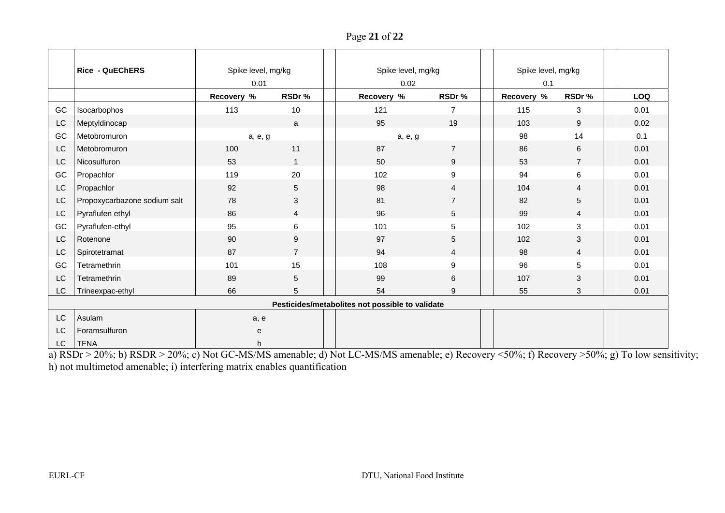Page **21** of **22**

|                                                 | <b>Rice - QuEChERS</b>       | Spike level, mg/kg |                |  | Spike level, mg/kg |                |  | Spike level, mg/kg |                |  |      |
|-------------------------------------------------|------------------------------|--------------------|----------------|--|--------------------|----------------|--|--------------------|----------------|--|------|
|                                                 |                              | 0.01               |                |  | 0.02               |                |  | 0.1                |                |  |      |
|                                                 |                              | Recovery %         | RSDr%          |  | Recovery %         | RSDr%          |  | Recovery %         | RSDr%          |  | LOQ  |
| GC                                              | Isocarbophos                 | 113                | 10             |  | 121                | $\overline{7}$ |  | 115                | 3              |  | 0.01 |
| LC                                              | Meptyldinocap                |                    | a              |  | 95                 | 19             |  | 103                | 9              |  | 0.02 |
| GC                                              | Metobromuron                 | a, e, g            |                |  | a, e, g            |                |  | 98                 | 14             |  | 0.1  |
| LC                                              | Metobromuron                 | 100                | 11             |  | 87                 | $\overline{7}$ |  | 86                 | $\,6\,$        |  | 0.01 |
| LC                                              | Nicosulfuron                 | 53                 | $\mathbf{1}$   |  | 50                 | 9              |  | 53                 | $\overline{7}$ |  | 0.01 |
| GC                                              | Propachlor                   | 119                | 20             |  | 102                | 9              |  | 94                 | 6              |  | 0.01 |
| LC                                              | Propachlor                   | 92                 | 5              |  | 98                 | $\overline{4}$ |  | 104                | $\overline{4}$ |  | 0.01 |
| LC                                              | Propoxycarbazone sodium salt | 78                 | 3              |  | 81                 | 7              |  | 82                 | 5              |  | 0.01 |
| LC                                              | Pyraflufen ethyl             | 86                 | $\overline{4}$ |  | 96                 | 5              |  | 99                 | $\overline{4}$ |  | 0.01 |
| GC                                              | Pyraflufen-ethyl             | 95                 | 6              |  | 101                | 5              |  | 102                | $\mathbf{3}$   |  | 0.01 |
| LC                                              | Rotenone                     | 90                 | 9              |  | 97                 | 5              |  | 102                | 3              |  | 0.01 |
| LC                                              | Spirotetramat                | 87                 | $\overline{7}$ |  | 94                 | 4              |  | 98                 | $\overline{4}$ |  | 0.01 |
| GC                                              | Tetramethrin                 | 101                | 15             |  | 108                | 9              |  | 96                 | 5              |  | 0.01 |
| LC                                              | Tetramethrin                 | 89                 | 5              |  | 99                 | 6              |  | 107                | 3              |  | 0.01 |
| LC                                              | Trineexpac-ethyl             | 66                 | 5              |  | 54                 | 9              |  | 55                 | 3              |  | 0.01 |
| Pesticides/metabolites not possible to validate |                              |                    |                |  |                    |                |  |                    |                |  |      |
| LC                                              | Asulam                       | a, e               |                |  |                    |                |  |                    |                |  |      |
| LC                                              | Foramsulfuron                | е                  |                |  |                    |                |  |                    |                |  |      |
| LC.                                             | <b>TFNA</b>                  | h                  |                |  |                    |                |  |                    |                |  |      |

a) RSDr > 20%; b) RSDR > 20%; c) Not GC-MS/MS amenable; d) Not LC-MS/MS amenable; e) Recovery <50%; f) Recovery >50%; g) To low sensitivity; h) not multimetod amenable; i) interfering matrix enables quantification